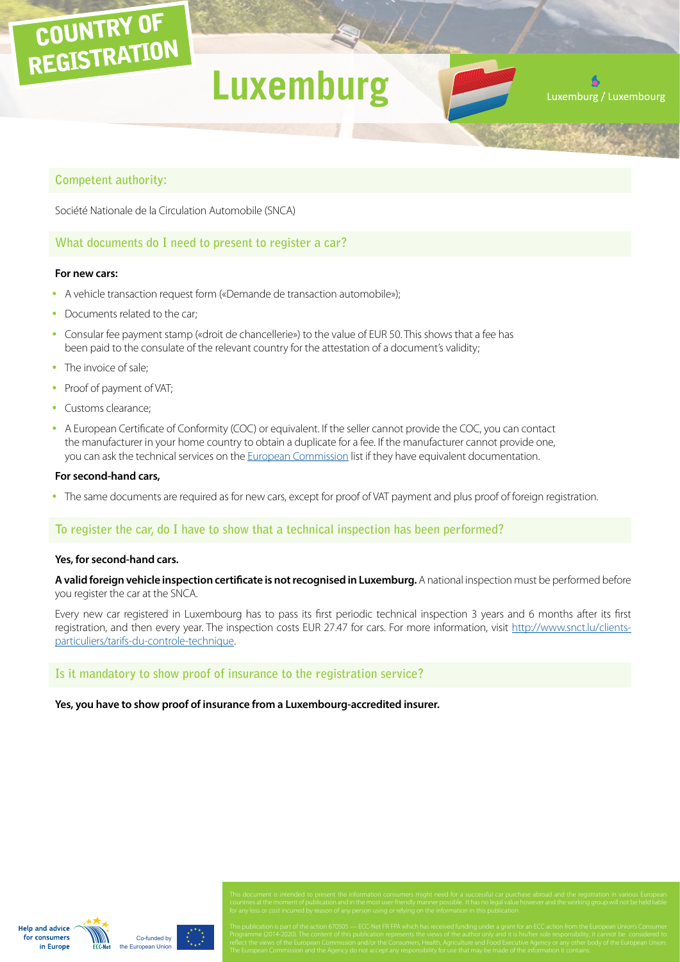# COUNTRY OF REGISTRATION

# **Luxemburg**

Luxembourg Luxemburg

# **Competent authority:**

Société Nationale de la Circulation Automobile (SNCA)

# **What documents do I need to present to register a car?**

#### **For new cars:**

- A vehicle transaction request form («Demande de transaction automobile»);
- Documents related to the car;
- Consular fee payment stamp («droit de chancellerie») to the value of EUR 50. This shows that a fee has been paid to the consulate of the relevant country for the attestation of a document's validity;
- The invoice of sale;
- Proof of payment of VAT;
- Customs clearance;
- A European Certificate of Conformity (COC) or equivalent. If the seller cannot provide the COC, you can contact the manufacturer in your home country to obtain a duplicate for a fee. If the manufacturer cannot provide one, you can ask the technical services on the [European Commission](http://ec.europa.eu/DocsRoom/documents?tags=technical-service-auto&pageSize=30&sortCol=title&sortOrder=asc) list if they have equivalent documentation.

#### **For second-hand cars,**

• The same documents are required as for new cars, except for proof of VAT payment and plus proof of foreign registration.

# **To register the car, do I have to show that a technical inspection has been performed?**

#### **Yes, for second-hand cars.**

**A valid foreign vehicle inspection certificate is not recognised in Luxemburg.** A national inspection must be performed before you register the car at the SNCA.

Every new car registered in Luxembourg has to pass its first periodic technical inspection 3 years and 6 months after its first registration, and then every year. The inspection costs EUR 27.47 for cars. For more information, visit [http://www.snct.lu/clients](http://www.snct.lu/clients-particuliers/tarifs-du-controle-technique)[particuliers/tarifs-du-controle-technique.](http://www.snct.lu/clients-particuliers/tarifs-du-controle-technique)

## **Is it mandatory to show proof of insurance to the registration service?**

## **Yes, you have to show proof of insurance from a Luxembourg-accredited insurer.**

**Help and advice** for consumers in Europe